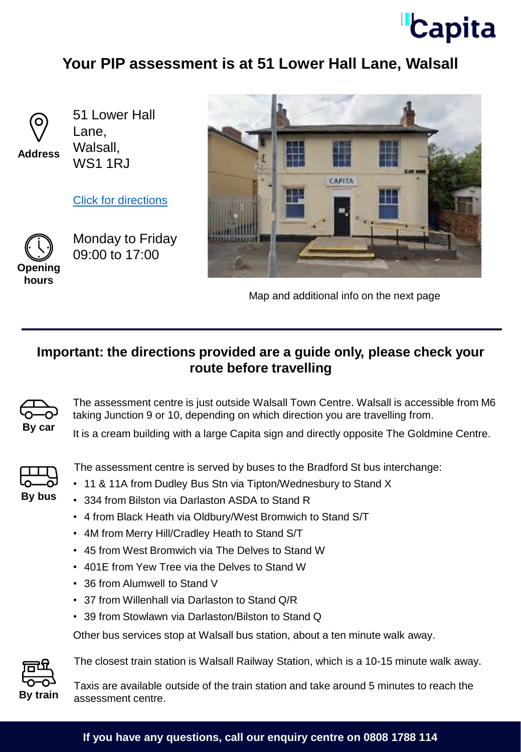

## **Your PIP assessment is at 51 Lower Hall Lane, Walsall**



**Address**

51 Lower Hall Lane, Walsall, WS1 1RJ

[Click for directions](https://goo.gl/maps/UsAzV4NS9CHdK48p7)



Monday to Friday 09:00 to 17:00



Map and additional info on the next page

## **Important: the directions provided are a guide only, please check your route before travelling**



The assessment centre is just outside Walsall Town Centre. Walsall is accessible from M6 taking Junction 9 or 10, depending on which direction you are travelling from.

By car<br>It is a cream building with a large Capita sign and directly opposite The Goldmine Centre.



The assessment centre is served by buses to the Bradford St bus interchange:

- 11 & 11A from Dudley Bus Stn via Tipton/Wednesbury to Stand X
- 334 from Bilston via Darlaston ASDA to Stand R
- 4 from Black Heath via Oldbury/West Bromwich to Stand S/T
- 4M from Merry Hill/Cradley Heath to Stand S/T
- 45 from West Bromwich via The Delves to Stand W
- 401E from Yew Tree via the Delves to Stand W
- 36 from Alumwell to Stand V
- 37 from Willenhall via Darlaston to Stand Q/R
- 39 from Stowlawn via Darlaston/Bilston to Stand Q

Other bus services stop at Walsall bus station, about a ten minute walk away.



The closest train station is Walsall Railway Station, which is a 10-15 minute walk away.

Taxis are available outside of the train station and take around 5 minutes to reach the **By train** assessment centre.